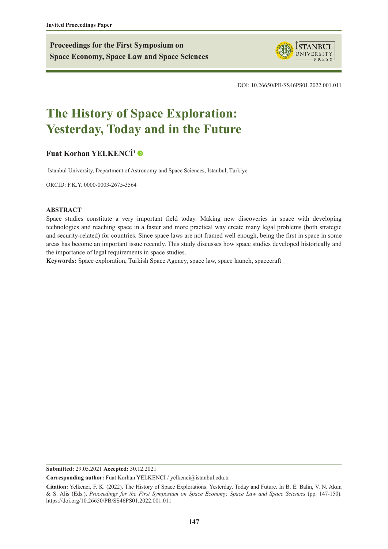**Proceedings for the First Symposium on Space Economy, Space Law and Space Sciences**



DOI: 10.26650/PB/SS46PS01.2022.001.011

# **The History of Space Exploration: Yesterday, Today and in the Future**

# **[Fuat Korhan YELKENCİ](https://orcid.org/0000-0003-2675-3564)<sup>1</sup>**

<sup>1</sup>Istanbul University, Department of Astronomy and Space Sciences, Istanbul, Turkiye

ORCID: F.K.Y. 0000-0003-2675-3564

#### **ABSTRACT**

Space studies constitute a very important field today. Making new discoveries in space with developing technologies and reaching space in a faster and more practical way create many legal problems (both strategic and security-related) for countries. Since space laws are not framed well enough, being the first in space in some areas has become an important issue recently. This study discusses how space studies developed historically and the importance of legal requirements in space studies.

**Keywords:** Space exploration, Turkish Space Agency, space law, space launch, spacecraft

**Submitted:** 29.05.2021 **Accepted:** 30.12.2021

**Corresponding author:** Fuat Korhan YELKENCİ / yelkenci@istanbul.edu.tr

**Citation:** Yelkenci, F. K. (2022). The History of Space Explorations: Yesterday, Today and Future. In B. E. Balin, V. N. Akun & S. Alis (Eds.), *Proceedings for the First Symposium on Space Economy, Space Law and Space Sciences* (pp. 147-150). https://doi.org/10.26650/PB/SS46PS01.2022.001.011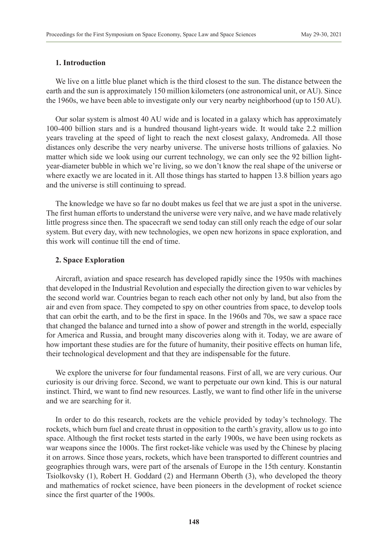## **1. Introduction**

We live on a little blue planet which is the third closest to the sun. The distance between the earth and the sun is approximately 150 million kilometers (one astronomical unit, or AU). Since the 1960s, we have been able to investigate only our very nearby neighborhood (up to 150 AU).

Our solar system is almost 40 AU wide and is located in a galaxy which has approximately 100-400 billion stars and is a hundred thousand light-years wide. It would take 2.2 million years traveling at the speed of light to reach the next closest galaxy, Andromeda. All those distances only describe the very nearby universe. The universe hosts trillions of galaxies. No matter which side we look using our current technology, we can only see the 92 billion lightyear-diameter bubble in which we're living, so we don't know the real shape of the universe or where exactly we are located in it. All those things has started to happen 13.8 billion years ago and the universe is still continuing to spread.

The knowledge we have so far no doubt makes us feel that we are just a spot in the universe. The first human efforts to understand the universe were very naïve, and we have made relatively little progress since then. The spacecraft we send today can still only reach the edge of our solar system. But every day, with new technologies, we open new horizons in space exploration, and this work will continue till the end of time.

### **2. Space Exploration**

Aircraft, aviation and space research has developed rapidly since the 1950s with machines that developed in the Industrial Revolution and especially the direction given to war vehicles by the second world war. Countries began to reach each other not only by land, but also from the air and even from space. They competed to spy on other countries from space, to develop tools that can orbit the earth, and to be the first in space. In the 1960s and 70s, we saw a space race that changed the balance and turned into a show of power and strength in the world, especially for America and Russia, and brought many discoveries along with it. Today, we are aware of how important these studies are for the future of humanity, their positive effects on human life, their technological development and that they are indispensable for the future.

We explore the universe for four fundamental reasons. First of all, we are very curious. Our curiosity is our driving force. Second, we want to perpetuate our own kind. This is our natural instinct. Third, we want to find new resources. Lastly, we want to find other life in the universe and we are searching for it.

In order to do this research, rockets are the vehicle provided by today's technology. The rockets, which burn fuel and create thrust in opposition to the earth's gravity, allow us to go into space. Although the first rocket tests started in the early 1900s, we have been using rockets as war weapons since the 1000s. The first rocket-like vehicle was used by the Chinese by placing it on arrows. Since those years, rockets, which have been transported to different countries and geographies through wars, were part of the arsenals of Europe in the 15th century. Konstantin Tsiolkovsky (1), Robert H. Goddard (2) and Hermann Oberth (3), who developed the theory and mathematics of rocket science, have been pioneers in the development of rocket science since the first quarter of the 1900s.